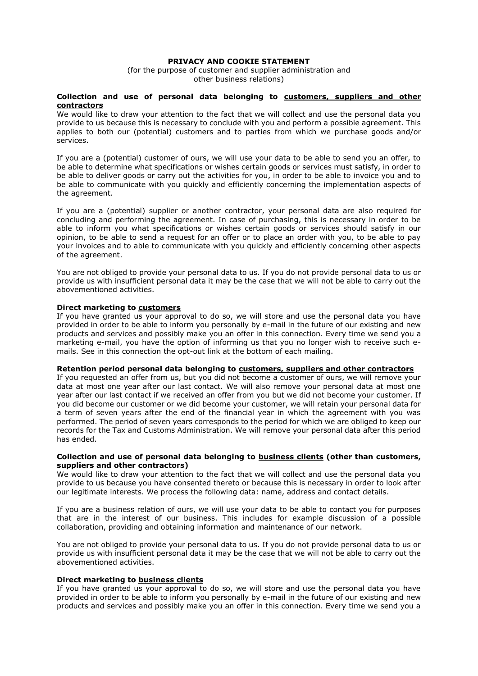# **PRIVACY AND COOKIE STATEMENT**

(for the purpose of customer and supplier administration and other business relations)

## **Collection and use of personal data belonging to customers, suppliers and other contractors**

We would like to draw your attention to the fact that we will collect and use the personal data you provide to us because this is necessary to conclude with you and perform a possible agreement. This applies to both our (potential) customers and to parties from which we purchase goods and/or services.

If you are a (potential) customer of ours, we will use your data to be able to send you an offer, to be able to determine what specifications or wishes certain goods or services must satisfy, in order to be able to deliver goods or carry out the activities for you, in order to be able to invoice you and to be able to communicate with you quickly and efficiently concerning the implementation aspects of the agreement.

If you are a (potential) supplier or another contractor, your personal data are also required for concluding and performing the agreement. In case of purchasing, this is necessary in order to be able to inform you what specifications or wishes certain goods or services should satisfy in our opinion, to be able to send a request for an offer or to place an order with you, to be able to pay your invoices and to able to communicate with you quickly and efficiently concerning other aspects of the agreement.

You are not obliged to provide your personal data to us. If you do not provide personal data to us or provide us with insufficient personal data it may be the case that we will not be able to carry out the abovementioned activities.

## **Direct marketing to customers**

If you have granted us your approval to do so, we will store and use the personal data you have provided in order to be able to inform you personally by e-mail in the future of our existing and new products and services and possibly make you an offer in this connection. Every time we send you a marketing e-mail, you have the option of informing us that you no longer wish to receive such emails. See in this connection the opt-out link at the bottom of each mailing.

### **Retention period personal data belonging to customers, suppliers and other contractors**

If you requested an offer from us, but you did not become a customer of ours, we will remove your data at most one year after our last contact. We will also remove your personal data at most one year after our last contact if we received an offer from you but we did not become your customer. If you did become our customer or we did become your customer, we will retain your personal data for a term of seven years after the end of the financial year in which the agreement with you was performed. The period of seven years corresponds to the period for which we are obliged to keep our records for the Tax and Customs Administration. We will remove your personal data after this period has ended.

# **Collection and use of personal data belonging to business clients (other than customers, suppliers and other contractors)**

We would like to draw your attention to the fact that we will collect and use the personal data you provide to us because you have consented thereto or because this is necessary in order to look after our legitimate interests. We process the following data: name, address and contact details.

If you are a business relation of ours, we will use your data to be able to contact you for purposes that are in the interest of our business. This includes for example discussion of a possible collaboration, providing and obtaining information and maintenance of our network.

You are not obliged to provide your personal data to us. If you do not provide personal data to us or provide us with insufficient personal data it may be the case that we will not be able to carry out the abovementioned activities.

### **Direct marketing to business clients**

If you have granted us your approval to do so, we will store and use the personal data you have provided in order to be able to inform you personally by e-mail in the future of our existing and new products and services and possibly make you an offer in this connection. Every time we send you a